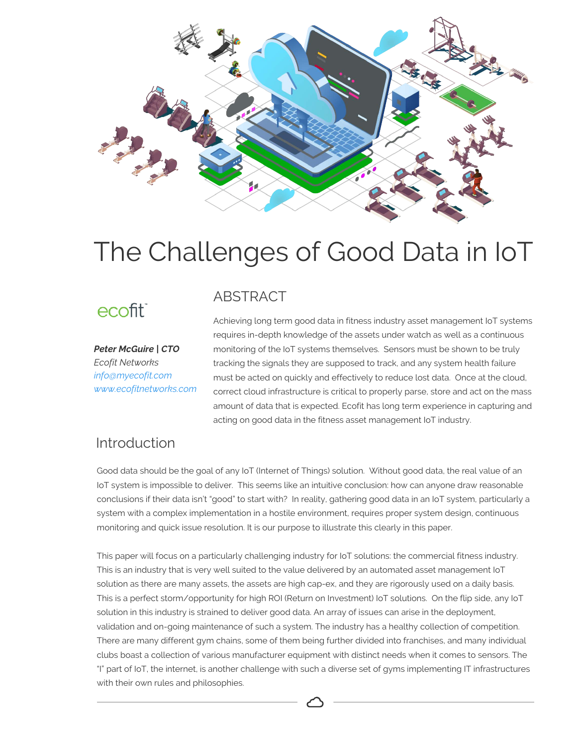

# The Challenges of Good Data in IoT

# ecofit<sup>®</sup>

*Peter McGuire | CTO Ecofit Networks info@myecofit.com www.ecofitnetworks.com*

### ABSTRACT

Achieving long term good data in fitness industry asset management IoT systems requires in-depth knowledge of the assets under watch as well as a continuous monitoring of the IoT systems themselves. Sensors must be shown to be truly tracking the signals they are supposed to track, and any system health failure must be acted on quickly and effectively to reduce lost data. Once at the cloud, correct cloud infrastructure is critical to properly parse, store and act on the mass amount of data that is expected. Ecofit has long term experience in capturing and acting on good data in the fitness asset management IoT industry.

### Introduction

Good data should be the goal of any IoT (Internet of Things) solution. Without good data, the real value of an IoT system is impossible to deliver. This seems like an intuitive conclusion: how can anyone draw reasonable conclusions if their data isn't "good" to start with? In reality, gathering good data in an IoT system, particularly a system with a complex implementation in a hostile environment, requires proper system design, continuous monitoring and quick issue resolution. It is our purpose to illustrate this clearly in this paper.

This paper will focus on a particularly challenging industry for IoT solutions: the commercial fitness industry. This is an industry that is very well suited to the value delivered by an automated asset management IoT solution as there are many assets, the assets are high cap-ex, and they are rigorously used on a daily basis. This is a perfect storm/opportunity for high ROI (Return on Investment) IoT solutions. On the flip side, any IoT solution in this industry is strained to deliver good data. An array of issues can arise in the deployment, validation and on-going maintenance of such a system. The industry has a healthy collection of competition. There are many different gym chains, some of them being further divided into franchises, and many individual clubs boast a collection of various manufacturer equipment with distinct needs when it comes to sensors. The "I" part of IoT, the internet, is another challenge with such a diverse set of gyms implementing IT infrastructures with their own rules and philosophies.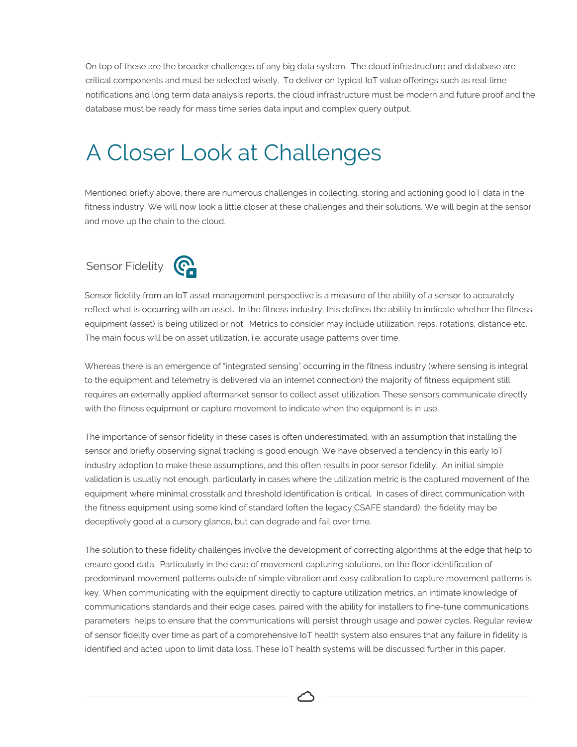On top of these are the broader challenges of any big data system. The cloud infrastructure and database are critical components and must be selected wisely. To deliver on typical IoT value offerings such as real time notifications and long term data analysis reports, the cloud infrastructure must be modern and future proof and the database must be ready for mass time series data input and complex query output.

# A Closer Look at Challenges

Mentioned briefly above, there are numerous challenges in collecting, storing and actioning good IoT data in the fitness industry. We will now look a little closer at these challenges and their solutions. We will begin at the sensor and move up the chain to the cloud.

# Sensor Fidelity **Contains**



Sensor fidelity from an IoT asset management perspective is a measure of the ability of a sensor to accurately reflect what is occurring with an asset. In the fitness industry, this defines the ability to indicate whether the fitness equipment (asset) is being utilized or not. Metrics to consider may include utilization, reps, rotations, distance etc. The main focus will be on asset utilization, i.e. accurate usage patterns over time.

Whereas there is an emergence of "integrated sensing" occurring in the fitness industry (where sensing is integral to the equipment and telemetry is delivered via an internet connection) the majority of fitness equipment still requires an externally applied aftermarket sensor to collect asset utilization. These sensors communicate directly with the fitness equipment or capture movement to indicate when the equipment is in use.

The importance of sensor fidelity in these cases is often underestimated, with an assumption that installing the sensor and briefly observing signal tracking is good enough. We have observed a tendency in this early IoT industry adoption to make these assumptions, and this often results in poor sensor fidelity. An initial simple validation is usually not enough, particularly in cases where the utilization metric is the captured movement of the equipment where minimal crosstalk and threshold identification is critical. In cases of direct communication with the fitness equipment using some kind of standard (often the legacy CSAFE standard), the fidelity may be deceptively good at a cursory glance, but can degrade and fail over time.

The solution to these fidelity challenges involve the development of correcting algorithms at the edge that help to ensure good data. Particularly in the case of movement capturing solutions, on the floor identification of predominant movement patterns outside of simple vibration and easy calibration to capture movement patterns is key. When communicating with the equipment directly to capture utilization metrics, an intimate knowledge of communications standards and their edge cases, paired with the ability for installers to fine-tune communications parameters helps to ensure that the communications will persist through usage and power cycles. Regular review of sensor fidelity over time as part of a comprehensive IoT health system also ensures that any failure in fidelity is identified and acted upon to limit data loss. These IoT health systems will be discussed further in this paper.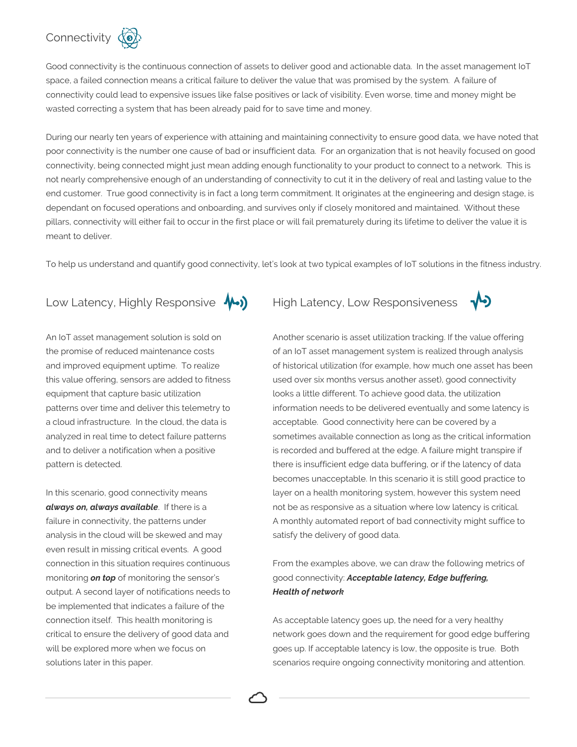# Connectivity (0)

Good connectivity is the continuous connection of assets to deliver good and actionable data. In the asset management IoT space, a failed connection means a critical failure to deliver the value that was promised by the system. A failure of connectivity could lead to expensive issues like false positives or lack of visibility. Even worse, time and money might be wasted correcting a system that has been already paid for to save time and money.

During our nearly ten years of experience with attaining and maintaining connectivity to ensure good data, we have noted that poor connectivity is the number one cause of bad or insufficient data. For an organization that is not heavily focused on good connectivity, being connected might just mean adding enough functionality to your product to connect to a network. This is not nearly comprehensive enough of an understanding of connectivity to cut it in the delivery of real and lasting value to the end customer. True good connectivity is in fact a long term commitment. It originates at the engineering and design stage, is dependant on focused operations and onboarding, and survives only if closely monitored and maintained. Without these pillars, connectivity will either fail to occur in the first place or will fail prematurely during its lifetime to deliver the value it is meant to deliver.

To help us understand and quantify good connectivity, let's look at two typical examples of IoT solutions in the fitness industry.

#### Low Latency, Highly Responsive  $\bigwedge)$  High Latency, Low Responsiveness

An IoT asset management solution is sold on the promise of reduced maintenance costs and improved equipment uptime. To realize this value offering, sensors are added to fitness equipment that capture basic utilization patterns over time and deliver this telemetry to a cloud infrastructure. In the cloud, the data is analyzed in real time to detect failure patterns and to deliver a notification when a positive pattern is detected.

In this scenario, good connectivity means *always on, always available*. If there is a failure in connectivity, the patterns under analysis in the cloud will be skewed and may even result in missing critical events. A good connection in this situation requires continuous monitoring *on top* of monitoring the sensor's output. A second layer of notifications needs to be implemented that indicates a failure of the connection itself. This health monitoring is critical to ensure the delivery of good data and will be explored more when we focus on solutions later in this paper.



Another scenario is asset utilization tracking. If the value offering of an IoT asset management system is realized through analysis of historical utilization (for example, how much one asset has been used over six months versus another asset), good connectivity looks a little different. To achieve good data, the utilization information needs to be delivered eventually and some latency is acceptable. Good connectivity here can be covered by a sometimes available connection as long as the critical information is recorded and buffered at the edge. A failure might transpire if there is insufficient edge data buffering, or if the latency of data becomes unacceptable. In this scenario it is still good practice to layer on a health monitoring system, however this system need not be as responsive as a situation where low latency is critical. A monthly automated report of bad connectivity might suffice to satisfy the delivery of good data.

From the examples above, we can draw the following metrics of good connectivity: *Acceptable latency, Edge buffering, Health of network*

As acceptable latency goes up, the need for a very healthy network goes down and the requirement for good edge buffering goes up. If acceptable latency is low, the opposite is true. Both scenarios require ongoing connectivity monitoring and attention.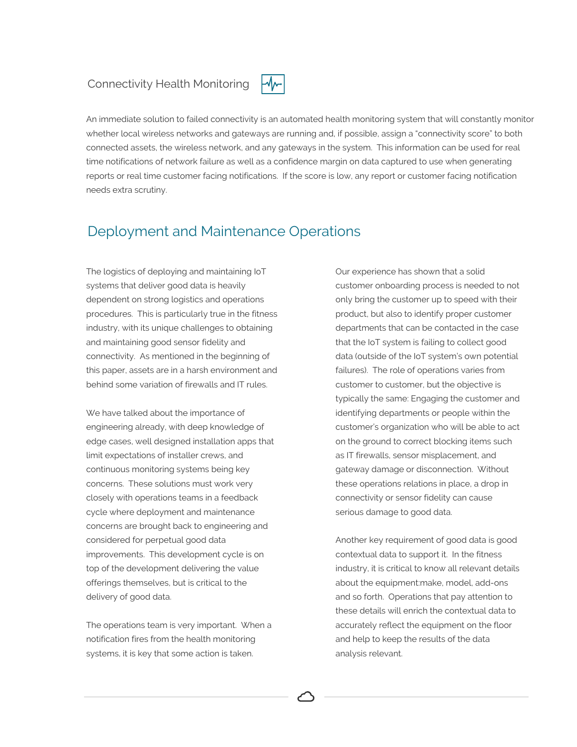#### Connectivity Health Monitoring



An immediate solution to failed connectivity is an automated health monitoring system that will constantly monitor whether local wireless networks and gateways are running and, if possible, assign a "connectivity score" to both connected assets, the wireless network, and any gateways in the system. This information can be used for real time notifications of network failure as well as a confidence margin on data captured to use when generating reports or real time customer facing notifications. If the score is low, any report or customer facing notification needs extra scrutiny.

### Deployment and Maintenance Operations

The logistics of deploying and maintaining IoT systems that deliver good data is heavily dependent on strong logistics and operations procedures. This is particularly true in the fitness industry, with its unique challenges to obtaining and maintaining good sensor fidelity and connectivity. As mentioned in the beginning of this paper, assets are in a harsh environment and behind some variation of firewalls and IT rules.

We have talked about the importance of engineering already, with deep knowledge of edge cases, well designed installation apps that limit expectations of installer crews, and continuous monitoring systems being key concerns. These solutions must work very closely with operations teams in a feedback cycle where deployment and maintenance concerns are brought back to engineering and considered for perpetual good data improvements. This development cycle is on top of the development delivering the value offerings themselves, but is critical to the delivery of good data.

The operations team is very important. When a notification fires from the health monitoring systems, it is key that some action is taken.

Our experience has shown that a solid customer onboarding process is needed to not only bring the customer up to speed with their product, but also to identify proper customer departments that can be contacted in the case that the IoT system is failing to collect good data (outside of the IoT system's own potential failures). The role of operations varies from customer to customer, but the objective is typically the same: Engaging the customer and identifying departments or people within the customer's organization who will be able to act on the ground to correct blocking items such as IT firewalls, sensor misplacement, and gateway damage or disconnection. Without these operations relations in place, a drop in connectivity or sensor fidelity can cause serious damage to good data.

Another key requirement of good data is good contextual data to support it. In the fitness industry, it is critical to know all relevant details about the equipment:make, model, add-ons and so forth. Operations that pay attention to these details will enrich the contextual data to accurately reflect the equipment on the floor and help to keep the results of the data analysis relevant.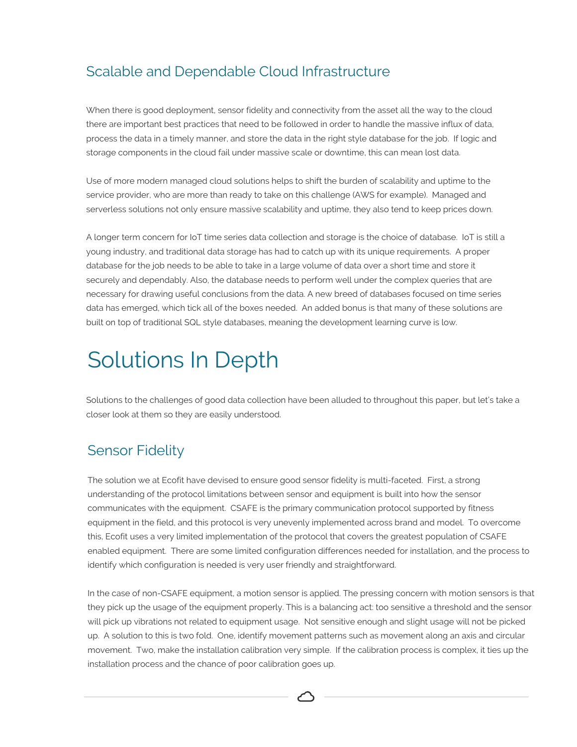# Scalable and Dependable Cloud Infrastructure

When there is good deployment, sensor fidelity and connectivity from the asset all the way to the cloud there are important best practices that need to be followed in order to handle the massive influx of data, process the data in a timely manner, and store the data in the right style database for the job. If logic and storage components in the cloud fail under massive scale or downtime, this can mean lost data.

Use of more modern managed cloud solutions helps to shift the burden of scalability and uptime to the service provider, who are more than ready to take on this challenge (AWS for example). Managed and serverless solutions not only ensure massive scalability and uptime, they also tend to keep prices down.

A longer term concern for IoT time series data collection and storage is the choice of database. IoT is still a young industry, and traditional data storage has had to catch up with its unique requirements. A proper database for the job needs to be able to take in a large volume of data over a short time and store it securely and dependably. Also, the database needs to perform well under the complex queries that are necessary for drawing useful conclusions from the data. A new breed of databases focused on time series data has emerged, which tick all of the boxes needed. An added bonus is that many of these solutions are built on top of traditional SQL style databases, meaning the development learning curve is low.

# Solutions In Depth

Solutions to the challenges of good data collection have been alluded to throughout this paper, but let's take a closer look at them so they are easily understood.

## Sensor Fidelity

The solution we at Ecofit have devised to ensure good sensor fidelity is multi-faceted. First, a strong understanding of the protocol limitations between sensor and equipment is built into how the sensor communicates with the equipment. CSAFE is the primary communication protocol supported by fitness equipment in the field, and this protocol is very unevenly implemented across brand and model. To overcome this, Ecofit uses a very limited implementation of the protocol that covers the greatest population of CSAFE enabled equipment. There are some limited configuration differences needed for installation, and the process to identify which configuration is needed is very user friendly and straightforward.

In the case of non-CSAFE equipment, a motion sensor is applied. The pressing concern with motion sensors is that they pick up the usage of the equipment properly. This is a balancing act: too sensitive a threshold and the sensor will pick up vibrations not related to equipment usage. Not sensitive enough and slight usage will not be picked up. A solution to this is two fold. One, identify movement patterns such as movement along an axis and circular movement. Two, make the installation calibration very simple. If the calibration process is complex, it ties up the installation process and the chance of poor calibration goes up.